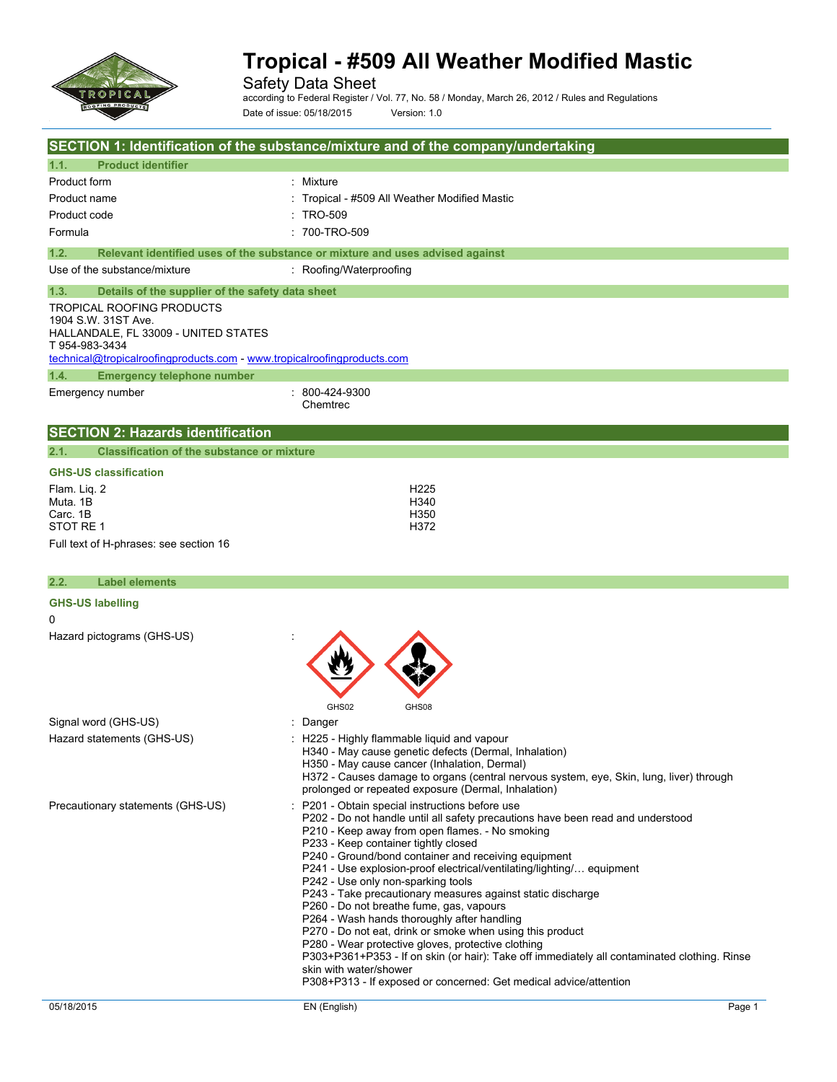

Safety Data Sheet

according to Federal Register / Vol. 77, No. 58 / Monday, March 26, 2012 / Rules and Regulations Date of issue: 05/18/2015 Version: 1.0

|                                                                                                                                                                                                                                                   | SECTION 1: Identification of the substance/mixture and of the company/undertaking                                                                                                                                                                                                                                                                                                                                                                                                                                                                                                                                                                                                                                                                                                                                                                                              |
|---------------------------------------------------------------------------------------------------------------------------------------------------------------------------------------------------------------------------------------------------|--------------------------------------------------------------------------------------------------------------------------------------------------------------------------------------------------------------------------------------------------------------------------------------------------------------------------------------------------------------------------------------------------------------------------------------------------------------------------------------------------------------------------------------------------------------------------------------------------------------------------------------------------------------------------------------------------------------------------------------------------------------------------------------------------------------------------------------------------------------------------------|
| 1.1.<br><b>Product identifier</b>                                                                                                                                                                                                                 |                                                                                                                                                                                                                                                                                                                                                                                                                                                                                                                                                                                                                                                                                                                                                                                                                                                                                |
| Product form                                                                                                                                                                                                                                      | Mixture                                                                                                                                                                                                                                                                                                                                                                                                                                                                                                                                                                                                                                                                                                                                                                                                                                                                        |
| Product name                                                                                                                                                                                                                                      | Tropical - #509 All Weather Modified Mastic                                                                                                                                                                                                                                                                                                                                                                                                                                                                                                                                                                                                                                                                                                                                                                                                                                    |
| Product code                                                                                                                                                                                                                                      | TRO-509                                                                                                                                                                                                                                                                                                                                                                                                                                                                                                                                                                                                                                                                                                                                                                                                                                                                        |
| Formula                                                                                                                                                                                                                                           | : 700-TRO-509                                                                                                                                                                                                                                                                                                                                                                                                                                                                                                                                                                                                                                                                                                                                                                                                                                                                  |
| 1.2.                                                                                                                                                                                                                                              | Relevant identified uses of the substance or mixture and uses advised against                                                                                                                                                                                                                                                                                                                                                                                                                                                                                                                                                                                                                                                                                                                                                                                                  |
| Use of the substance/mixture                                                                                                                                                                                                                      | : Roofing/Waterproofing                                                                                                                                                                                                                                                                                                                                                                                                                                                                                                                                                                                                                                                                                                                                                                                                                                                        |
| 1.3.<br>Details of the supplier of the safety data sheet<br>TROPICAL ROOFING PRODUCTS<br>1904 S.W. 31ST Ave.<br>HALLANDALE, FL 33009 - UNITED STATES<br>T 954-983-3434<br>technical@tropicalroofingproducts.com - www.tropicalroofingproducts.com |                                                                                                                                                                                                                                                                                                                                                                                                                                                                                                                                                                                                                                                                                                                                                                                                                                                                                |
| <b>Emergency telephone number</b><br>1.4.                                                                                                                                                                                                         |                                                                                                                                                                                                                                                                                                                                                                                                                                                                                                                                                                                                                                                                                                                                                                                                                                                                                |
| Emergency number                                                                                                                                                                                                                                  | 800-424-9300<br>Chemtrec                                                                                                                                                                                                                                                                                                                                                                                                                                                                                                                                                                                                                                                                                                                                                                                                                                                       |
| <b>SECTION 2: Hazards identification</b>                                                                                                                                                                                                          |                                                                                                                                                                                                                                                                                                                                                                                                                                                                                                                                                                                                                                                                                                                                                                                                                                                                                |
| 2.1.<br><b>Classification of the substance or mixture</b>                                                                                                                                                                                         |                                                                                                                                                                                                                                                                                                                                                                                                                                                                                                                                                                                                                                                                                                                                                                                                                                                                                |
| <b>GHS-US classification</b>                                                                                                                                                                                                                      |                                                                                                                                                                                                                                                                                                                                                                                                                                                                                                                                                                                                                                                                                                                                                                                                                                                                                |
| Flam. Lig. 2<br>Muta. 1B<br>Carc. 1B<br>STOT RE 1                                                                                                                                                                                                 | H <sub>225</sub><br>H340<br>H350<br>H372                                                                                                                                                                                                                                                                                                                                                                                                                                                                                                                                                                                                                                                                                                                                                                                                                                       |
| Full text of H-phrases: see section 16                                                                                                                                                                                                            |                                                                                                                                                                                                                                                                                                                                                                                                                                                                                                                                                                                                                                                                                                                                                                                                                                                                                |
|                                                                                                                                                                                                                                                   |                                                                                                                                                                                                                                                                                                                                                                                                                                                                                                                                                                                                                                                                                                                                                                                                                                                                                |
| 2.2.<br><b>Label elements</b>                                                                                                                                                                                                                     |                                                                                                                                                                                                                                                                                                                                                                                                                                                                                                                                                                                                                                                                                                                                                                                                                                                                                |
| <b>GHS-US labelling</b><br>0                                                                                                                                                                                                                      |                                                                                                                                                                                                                                                                                                                                                                                                                                                                                                                                                                                                                                                                                                                                                                                                                                                                                |
| Hazard pictograms (GHS-US)                                                                                                                                                                                                                        |                                                                                                                                                                                                                                                                                                                                                                                                                                                                                                                                                                                                                                                                                                                                                                                                                                                                                |
| Signal word (GHS-US)                                                                                                                                                                                                                              | GHS02<br>GHS08<br>Danger                                                                                                                                                                                                                                                                                                                                                                                                                                                                                                                                                                                                                                                                                                                                                                                                                                                       |
| Hazard statements (GHS-US)                                                                                                                                                                                                                        | : H225 - Highly flammable liquid and vapour<br>H340 - May cause genetic defects (Dermal, Inhalation)<br>H350 - May cause cancer (Inhalation, Dermal)<br>H372 - Causes damage to organs (central nervous system, eye, Skin, lung, liver) through<br>prolonged or repeated exposure (Dermal, Inhalation)                                                                                                                                                                                                                                                                                                                                                                                                                                                                                                                                                                         |
| Precautionary statements (GHS-US)                                                                                                                                                                                                                 | P201 - Obtain special instructions before use<br>P202 - Do not handle until all safety precautions have been read and understood<br>P210 - Keep away from open flames. - No smoking<br>P233 - Keep container tightly closed<br>P240 - Ground/bond container and receiving equipment<br>P241 - Use explosion-proof electrical/ventilating/lighting/ equipment<br>P242 - Use only non-sparking tools<br>P243 - Take precautionary measures against static discharge<br>P260 - Do not breathe fume, gas, vapours<br>P264 - Wash hands thoroughly after handling<br>P270 - Do not eat, drink or smoke when using this product<br>P280 - Wear protective gloves, protective clothing<br>P303+P361+P353 - If on skin (or hair): Take off immediately all contaminated clothing. Rinse<br>skin with water/shower<br>P308+P313 - If exposed or concerned: Get medical advice/attention |
| 05/18/2015                                                                                                                                                                                                                                        | EN (English)<br>Page 1                                                                                                                                                                                                                                                                                                                                                                                                                                                                                                                                                                                                                                                                                                                                                                                                                                                         |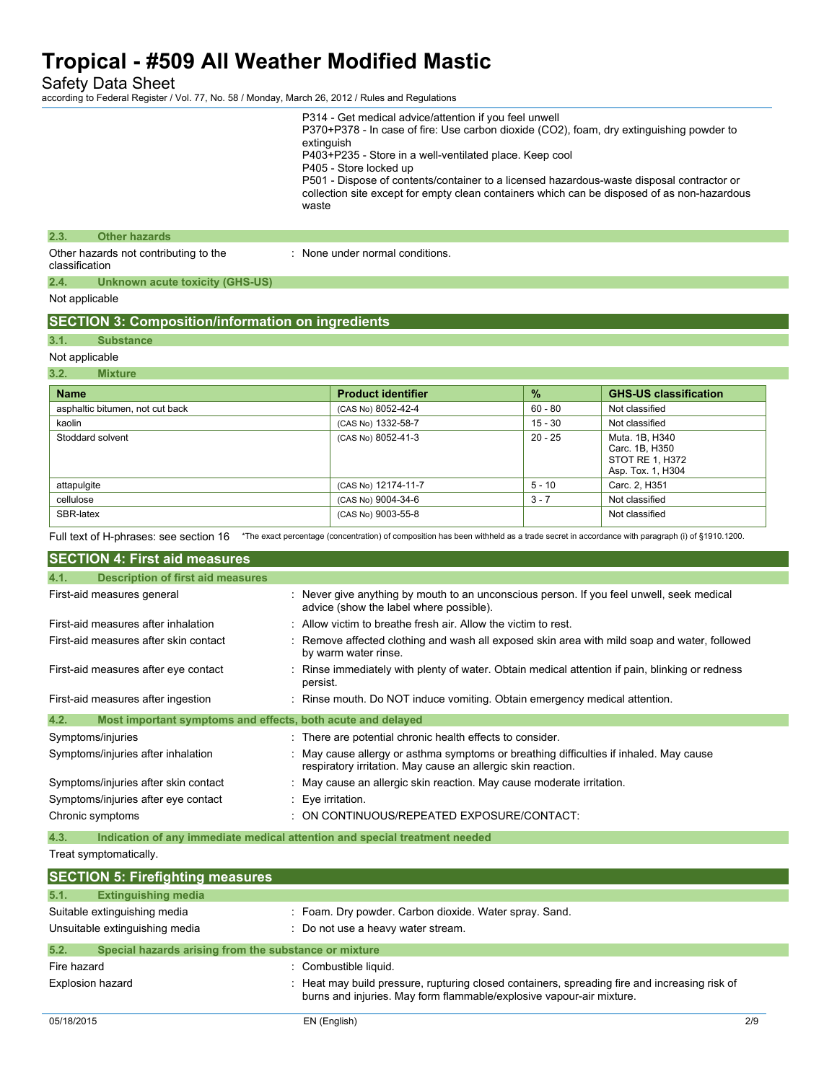Safety Data Sheet

according to Federal Register / Vol. 77, No. 58 / Monday, March 26, 2012 / Rules and Regulations

|                                                                                    | waste    | extinguish<br>P403+P235 - Store in a well-ventilated place. Keep cool<br>P405 - Store locked up<br>P501 - Dispose of contents/container to a licensed hazardous-waste disposal contractor or<br>collection site except for empty clean containers which can be disposed of as non-hazardous |           |                                                                          |     |
|------------------------------------------------------------------------------------|----------|---------------------------------------------------------------------------------------------------------------------------------------------------------------------------------------------------------------------------------------------------------------------------------------------|-----------|--------------------------------------------------------------------------|-----|
| <b>Other hazards</b><br>2.3.                                                       |          |                                                                                                                                                                                                                                                                                             |           |                                                                          |     |
| Other hazards not contributing to the<br>classification                            |          | : None under normal conditions.                                                                                                                                                                                                                                                             |           |                                                                          |     |
| 2.4.<br>Unknown acute toxicity (GHS-US)                                            |          |                                                                                                                                                                                                                                                                                             |           |                                                                          |     |
| Not applicable                                                                     |          |                                                                                                                                                                                                                                                                                             |           |                                                                          |     |
| <b>SECTION 3: Composition/information on ingredients</b>                           |          |                                                                                                                                                                                                                                                                                             |           |                                                                          |     |
| 3.1.<br><b>Substance</b>                                                           |          |                                                                                                                                                                                                                                                                                             |           |                                                                          |     |
| Not applicable                                                                     |          |                                                                                                                                                                                                                                                                                             |           |                                                                          |     |
| 3.2.<br><b>Mixture</b>                                                             |          |                                                                                                                                                                                                                                                                                             |           |                                                                          |     |
| <b>Name</b>                                                                        |          | <b>Product identifier</b>                                                                                                                                                                                                                                                                   | %         | <b>GHS-US classification</b>                                             |     |
| asphaltic bitumen, not cut back                                                    |          | (CAS No) 8052-42-4                                                                                                                                                                                                                                                                          | $60 - 80$ | Not classified                                                           |     |
| kaolin                                                                             |          | (CAS No) 1332-58-7                                                                                                                                                                                                                                                                          | $15 - 30$ | Not classified                                                           |     |
| Stoddard solvent                                                                   |          | (CAS No) 8052-41-3                                                                                                                                                                                                                                                                          | $20 - 25$ | Muta. 1B, H340<br>Carc. 1B, H350<br>STOT RE 1, H372<br>Asp. Tox. 1, H304 |     |
| attapulgite                                                                        |          | (CAS No) 12174-11-7                                                                                                                                                                                                                                                                         | $5 - 10$  | Carc. 2, H351                                                            |     |
| cellulose                                                                          |          | (CAS No) 9004-34-6                                                                                                                                                                                                                                                                          | $3 - 7$   | Not classified                                                           |     |
| SBR-latex                                                                          |          | (CAS No) 9003-55-8                                                                                                                                                                                                                                                                          |           | Not classified                                                           |     |
| Full text of H-phrases: see section 16                                             |          | *The exact percentage (concentration) of composition has been withheld as a trade secret in accordance with paragraph (i) of §1910.1200.                                                                                                                                                    |           |                                                                          |     |
| <b>SECTION 4: First aid measures</b>                                               |          |                                                                                                                                                                                                                                                                                             |           |                                                                          |     |
| 4.1.<br><b>Description of first aid measures</b>                                   |          |                                                                                                                                                                                                                                                                                             |           |                                                                          |     |
| First-aid measures general                                                         |          | : Never give anything by mouth to an unconscious person. If you feel unwell, seek medical<br>advice (show the label where possible).                                                                                                                                                        |           |                                                                          |     |
| First-aid measures after inhalation                                                |          | : Allow victim to breathe fresh air. Allow the victim to rest.                                                                                                                                                                                                                              |           |                                                                          |     |
| First-aid measures after skin contact                                              |          | Remove affected clothing and wash all exposed skin area with mild soap and water, followed<br>by warm water rinse.                                                                                                                                                                          |           |                                                                          |     |
| First-aid measures after eye contact                                               | persist. | : Rinse immediately with plenty of water. Obtain medical attention if pain, blinking or redness                                                                                                                                                                                             |           |                                                                          |     |
| First-aid measures after ingestion                                                 |          | : Rinse mouth. Do NOT induce vomiting. Obtain emergency medical attention.                                                                                                                                                                                                                  |           |                                                                          |     |
| 4.2.<br>Most important symptoms and effects, both acute and delayed                |          |                                                                                                                                                                                                                                                                                             |           |                                                                          |     |
| Symptoms/injuries                                                                  |          | : There are potential chronic health effects to consider.                                                                                                                                                                                                                                   |           |                                                                          |     |
| Symptoms/injuries after inhalation                                                 |          | May cause allergy or asthma symptoms or breathing difficulties if inhaled. May cause<br>respiratory irritation. May cause an allergic skin reaction.                                                                                                                                        |           |                                                                          |     |
| Symptoms/injuries after skin contact                                               |          | : May cause an allergic skin reaction. May cause moderate irritation.                                                                                                                                                                                                                       |           |                                                                          |     |
| Symptoms/injuries after eye contact                                                |          | : Eye irritation.                                                                                                                                                                                                                                                                           |           |                                                                          |     |
| Chronic symptoms                                                                   |          | : ON CONTINUOUS/REPEATED EXPOSURE/CONTACT:                                                                                                                                                                                                                                                  |           |                                                                          |     |
| 4.3.<br>Indication of any immediate medical attention and special treatment needed |          |                                                                                                                                                                                                                                                                                             |           |                                                                          |     |
| Treat symptomatically.                                                             |          |                                                                                                                                                                                                                                                                                             |           |                                                                          |     |
| <b>SECTION 5: Firefighting measures</b>                                            |          |                                                                                                                                                                                                                                                                                             |           |                                                                          |     |
| <b>Extinguishing media</b><br>5.1.                                                 |          |                                                                                                                                                                                                                                                                                             |           |                                                                          |     |
| Suitable extinguishing media                                                       |          | : Foam. Dry powder. Carbon dioxide. Water spray. Sand.                                                                                                                                                                                                                                      |           |                                                                          |     |
| Unsuitable extinguishing media                                                     |          | : Do not use a heavy water stream.                                                                                                                                                                                                                                                          |           |                                                                          |     |
| 5.2.<br>Special hazards arising from the substance or mixture                      |          |                                                                                                                                                                                                                                                                                             |           |                                                                          |     |
| Fire hazard                                                                        |          | : Combustible liquid.                                                                                                                                                                                                                                                                       |           |                                                                          |     |
| Explosion hazard                                                                   |          | : Heat may build pressure, rupturing closed containers, spreading fire and increasing risk of                                                                                                                                                                                               |           |                                                                          |     |
|                                                                                    |          | burns and injuries. May form flammable/explosive vapour-air mixture.                                                                                                                                                                                                                        |           |                                                                          |     |
| 05/18/2015                                                                         |          | EN (English)                                                                                                                                                                                                                                                                                |           |                                                                          | 2/9 |

P314 - Get medical advice/attention if you feel unwell

P370+P378 - In case of fire: Use carbon dioxide (CO2), foam, dry extinguishing powder to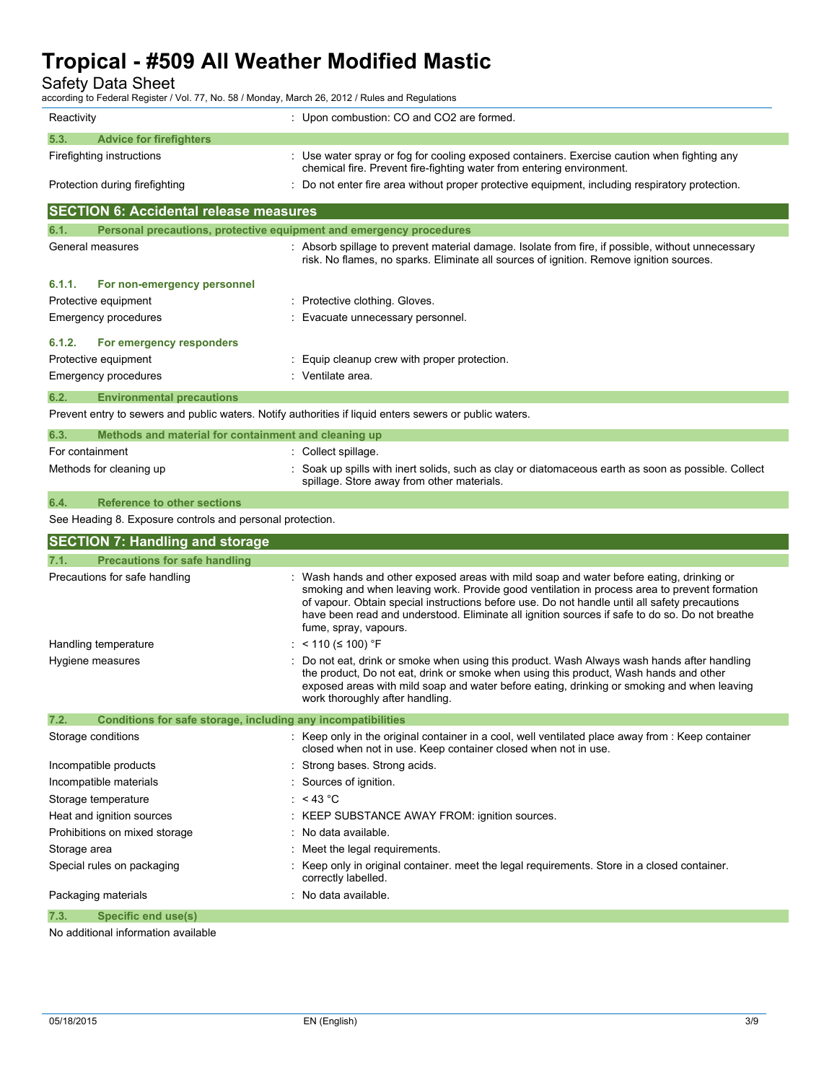Safety Data Sheet

according to Federal Register / Vol. 77, No. 58 / Monday, March 26, 2012 / Rules and Regulations

| Reactivity                                                                  | : Upon combustion: CO and CO2 are formed.                                                                                                                                                                                                                                                                                                                                                                          |
|-----------------------------------------------------------------------------|--------------------------------------------------------------------------------------------------------------------------------------------------------------------------------------------------------------------------------------------------------------------------------------------------------------------------------------------------------------------------------------------------------------------|
| 5.3.<br><b>Advice for firefighters</b>                                      |                                                                                                                                                                                                                                                                                                                                                                                                                    |
| Firefighting instructions                                                   | : Use water spray or fog for cooling exposed containers. Exercise caution when fighting any<br>chemical fire. Prevent fire-fighting water from entering environment.                                                                                                                                                                                                                                               |
| Protection during firefighting                                              | : Do not enter fire area without proper protective equipment, including respiratory protection.                                                                                                                                                                                                                                                                                                                    |
| <b>SECTION 6: Accidental release measures</b>                               |                                                                                                                                                                                                                                                                                                                                                                                                                    |
| Personal precautions, protective equipment and emergency procedures<br>6.1. |                                                                                                                                                                                                                                                                                                                                                                                                                    |
| General measures                                                            | : Absorb spillage to prevent material damage. Isolate from fire, if possible, without unnecessary<br>risk. No flames, no sparks. Eliminate all sources of ignition. Remove ignition sources.                                                                                                                                                                                                                       |
| 6.1.1.<br>For non-emergency personnel                                       |                                                                                                                                                                                                                                                                                                                                                                                                                    |
| Protective equipment                                                        | : Protective clothing. Gloves.                                                                                                                                                                                                                                                                                                                                                                                     |
| Emergency procedures                                                        | Evacuate unnecessary personnel.                                                                                                                                                                                                                                                                                                                                                                                    |
| 6.1.2.<br>For emergency responders                                          |                                                                                                                                                                                                                                                                                                                                                                                                                    |
| Protective equipment                                                        | Equip cleanup crew with proper protection.                                                                                                                                                                                                                                                                                                                                                                         |
| Emergency procedures                                                        | : Ventilate area.                                                                                                                                                                                                                                                                                                                                                                                                  |
|                                                                             |                                                                                                                                                                                                                                                                                                                                                                                                                    |
| 6.2.<br><b>Environmental precautions</b>                                    |                                                                                                                                                                                                                                                                                                                                                                                                                    |
|                                                                             | Prevent entry to sewers and public waters. Notify authorities if liquid enters sewers or public waters.                                                                                                                                                                                                                                                                                                            |
| 6.3.<br>Methods and material for containment and cleaning up                |                                                                                                                                                                                                                                                                                                                                                                                                                    |
| For containment                                                             | : Collect spillage.                                                                                                                                                                                                                                                                                                                                                                                                |
| Methods for cleaning up                                                     | : Soak up spills with inert solids, such as clay or diatomaceous earth as soon as possible. Collect<br>spillage. Store away from other materials.                                                                                                                                                                                                                                                                  |
|                                                                             |                                                                                                                                                                                                                                                                                                                                                                                                                    |
| <b>Reference to other sections</b><br>6.4.                                  |                                                                                                                                                                                                                                                                                                                                                                                                                    |
| See Heading 8. Exposure controls and personal protection.                   |                                                                                                                                                                                                                                                                                                                                                                                                                    |
|                                                                             |                                                                                                                                                                                                                                                                                                                                                                                                                    |
| <b>SECTION 7: Handling and storage</b><br>7.1.                              |                                                                                                                                                                                                                                                                                                                                                                                                                    |
| <b>Precautions for safe handling</b><br>Precautions for safe handling       | Wash hands and other exposed areas with mild soap and water before eating, drinking or<br>smoking and when leaving work. Provide good ventilation in process area to prevent formation<br>of vapour. Obtain special instructions before use. Do not handle until all safety precautions<br>have been read and understood. Eliminate all ignition sources if safe to do so. Do not breathe<br>fume, spray, vapours. |
| Handling temperature                                                        | : $< 110$ ( $\leq 100$ ) °F                                                                                                                                                                                                                                                                                                                                                                                        |
| Hygiene measures                                                            | Do not eat, drink or smoke when using this product. Wash Always wash hands after handling<br>the product, Do not eat, drink or smoke when using this product, Wash hands and other<br>exposed areas with mild soap and water before eating, drinking or smoking and when leaving<br>work thoroughly after handling.                                                                                                |
| 7.2.<br>Conditions for safe storage, including any incompatibilities        |                                                                                                                                                                                                                                                                                                                                                                                                                    |
| Storage conditions                                                          | : Keep only in the original container in a cool, well ventilated place away from : Keep container<br>closed when not in use. Keep container closed when not in use.                                                                                                                                                                                                                                                |
| Incompatible products                                                       | Strong bases. Strong acids.                                                                                                                                                                                                                                                                                                                                                                                        |
| Incompatible materials                                                      | : Sources of ignition.                                                                                                                                                                                                                                                                                                                                                                                             |
| Storage temperature                                                         | : <43 °C                                                                                                                                                                                                                                                                                                                                                                                                           |
| Heat and ignition sources                                                   | : KEEP SUBSTANCE AWAY FROM: ignition sources.                                                                                                                                                                                                                                                                                                                                                                      |
| Prohibitions on mixed storage                                               | No data available.                                                                                                                                                                                                                                                                                                                                                                                                 |
| Storage area                                                                | Meet the legal requirements.                                                                                                                                                                                                                                                                                                                                                                                       |
| Special rules on packaging                                                  | Keep only in original container, meet the legal requirements. Store in a closed container.<br>correctly labelled.                                                                                                                                                                                                                                                                                                  |
| Packaging materials                                                         | No data available.                                                                                                                                                                                                                                                                                                                                                                                                 |

No additional information available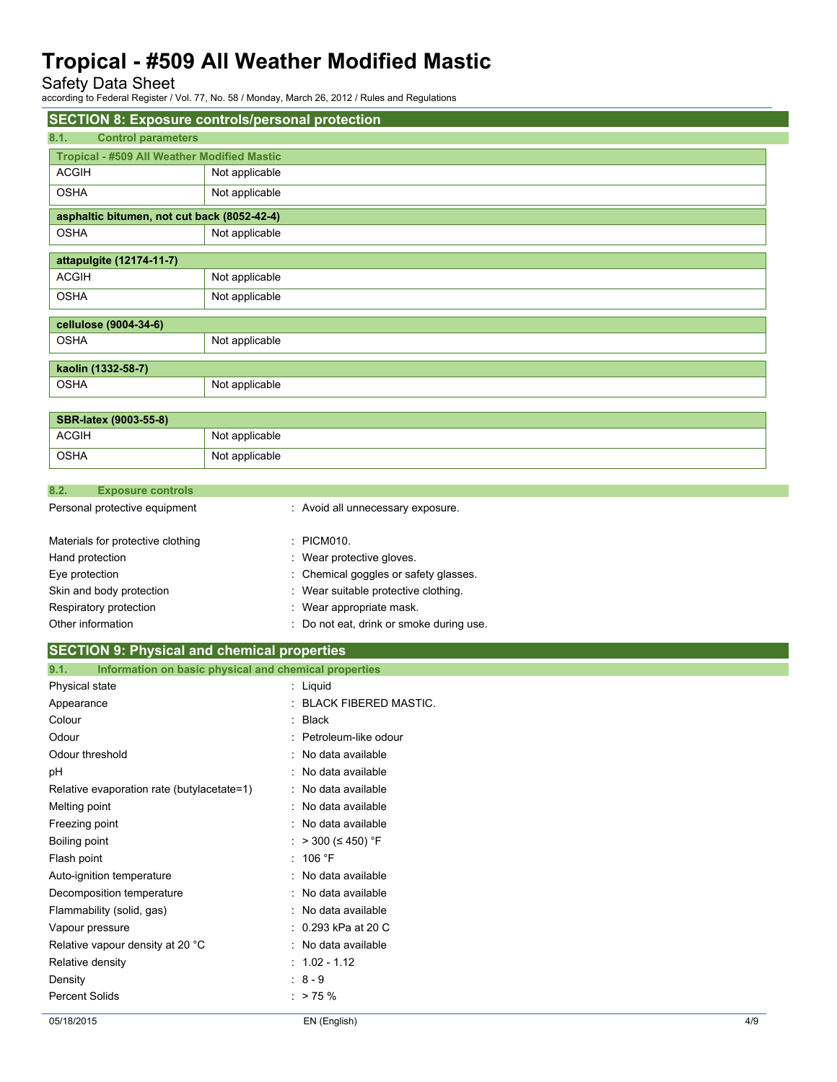Safety Data Sheet

according to Federal Register / Vol. 77, No. 58 / Monday, March 26, 2012 / Rules and Regulations

| <b>SECTION 8: Exposure controls/personal protection</b> |                                             |  |  |  |
|---------------------------------------------------------|---------------------------------------------|--|--|--|
| 8.1.<br><b>Control parameters</b>                       |                                             |  |  |  |
| <b>Tropical - #509 All Weather Modified Mastic</b>      |                                             |  |  |  |
| <b>ACGIH</b>                                            | Not applicable                              |  |  |  |
| <b>OSHA</b>                                             | Not applicable                              |  |  |  |
|                                                         | asphaltic bitumen, not cut back (8052-42-4) |  |  |  |
| <b>OSHA</b>                                             | Not applicable                              |  |  |  |
| attapulgite (12174-11-7)                                |                                             |  |  |  |
| <b>ACGIH</b>                                            | Not applicable                              |  |  |  |
| <b>OSHA</b>                                             | Not applicable                              |  |  |  |
| cellulose (9004-34-6)                                   |                                             |  |  |  |
| <b>OSHA</b>                                             | Not applicable                              |  |  |  |
| kaolin (1332-58-7)                                      |                                             |  |  |  |
| <b>OSHA</b>                                             | Not applicable                              |  |  |  |
|                                                         |                                             |  |  |  |

| <b>SBR-latex (9003-55-8)</b> |                |  |
|------------------------------|----------------|--|
| ACGIH<br>Not applicable      |                |  |
| <b>OSHA</b>                  | Not applicable |  |

| 8.2.           | <b>Exposure controls</b>          |                                          |
|----------------|-----------------------------------|------------------------------------------|
|                | Personal protective equipment     | : Avoid all unnecessary exposure.        |
|                | Materials for protective clothing | : PICM010.                               |
|                | Hand protection                   | : Wear protective gloves.                |
| Eye protection |                                   | : Chemical goggles or safety glasses.    |
|                | Skin and body protection          | : Wear suitable protective clothing.     |
|                | Respiratory protection            | : Wear appropriate mask.                 |
|                | Other information                 | : Do not eat, drink or smoke during use. |

| <b>SECTION 9: Physical and chemical properties</b>            |                              |
|---------------------------------------------------------------|------------------------------|
| Information on basic physical and chemical properties<br>9.1. |                              |
| Physical state                                                | : Liquid                     |
| Appearance                                                    | <b>BLACK FIBERED MASTIC.</b> |
| Colour                                                        | Black                        |
| Odour                                                         | Petroleum-like odour         |
| Odour threshold                                               | No data available            |
| рH                                                            | No data available            |
| Relative evaporation rate (butylacetate=1)                    | No data available            |
| Melting point                                                 | No data available            |
| Freezing point                                                | No data available            |
| Boiling point                                                 | > 300 (≤ 450) °F             |
| Flash point                                                   | : 106 °F                     |
| Auto-ignition temperature                                     | No data available            |
| Decomposition temperature                                     | No data available            |
| Flammability (solid, gas)                                     | No data available            |
| Vapour pressure                                               | 0.293 kPa at 20 C            |
| Relative vapour density at 20 °C                              | No data available            |
| Relative density                                              | $: 1.02 - 1.12$              |
| Density                                                       | $: 8 - 9$                    |

Percent Solids : > 75 %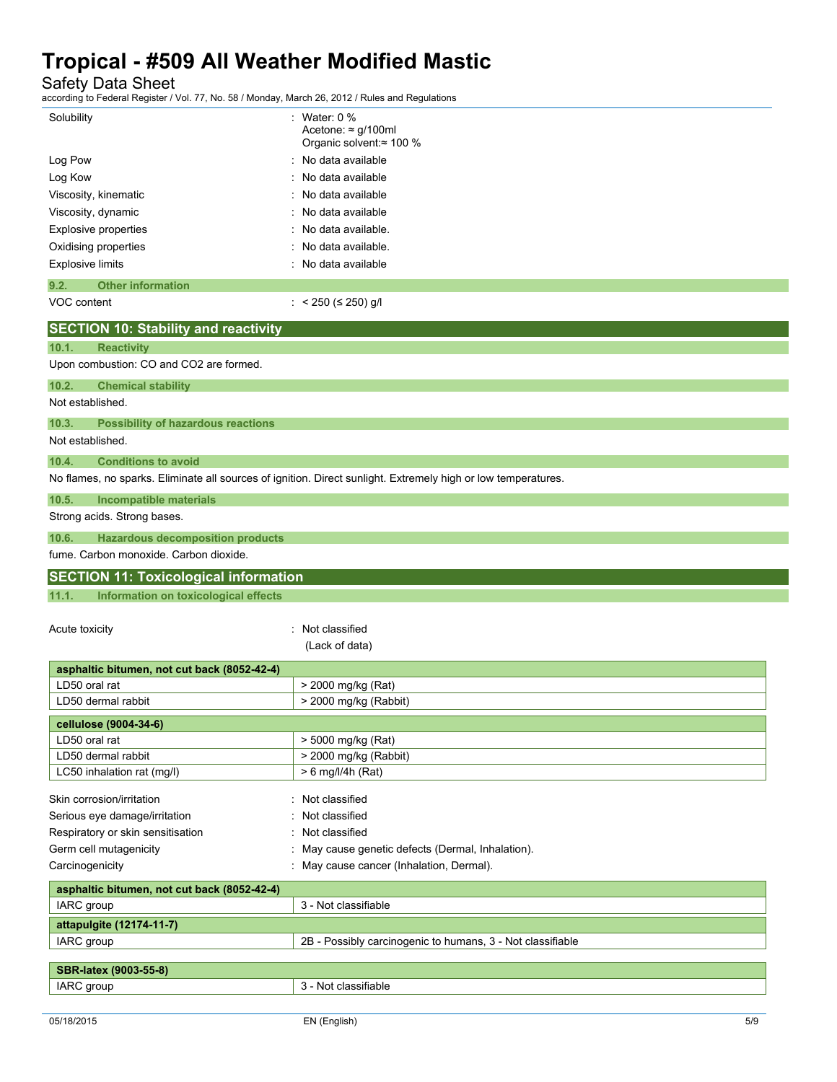Safety Data Sheet

according to Federal Register / Vol. 77, No. 58 / Monday, March 26, 2012 / Rules and Regulations

| according to Federal Regional / Vol. 77, No. 007 Monday, March 20, 2012 / Raico and Regulations |                                                                                                               |
|-------------------------------------------------------------------------------------------------|---------------------------------------------------------------------------------------------------------------|
| Solubility                                                                                      | : Water: 0 $%$                                                                                                |
|                                                                                                 | Acetone: $\approx$ g/100ml                                                                                    |
|                                                                                                 | Organic solvent:≈ 100 %                                                                                       |
| Log Pow                                                                                         | No data available                                                                                             |
| Log Kow                                                                                         | No data available                                                                                             |
| Viscosity, kinematic                                                                            | : No data available                                                                                           |
| Viscosity, dynamic                                                                              | No data available                                                                                             |
| <b>Explosive properties</b>                                                                     | No data available.                                                                                            |
| Oxidising properties                                                                            | No data available.                                                                                            |
| <b>Explosive limits</b>                                                                         | : No data available                                                                                           |
|                                                                                                 |                                                                                                               |
| 9.2.<br><b>Other information</b>                                                                |                                                                                                               |
| VOC content                                                                                     | : $<$ 250 ( $\le$ 250) g/l                                                                                    |
| <b>SECTION 10: Stability and reactivity</b>                                                     |                                                                                                               |
| 10.1.<br><b>Reactivity</b>                                                                      |                                                                                                               |
| Upon combustion: CO and CO2 are formed.                                                         |                                                                                                               |
|                                                                                                 |                                                                                                               |
| 10.2.<br><b>Chemical stability</b>                                                              |                                                                                                               |
| Not established.                                                                                |                                                                                                               |
| <b>Possibility of hazardous reactions</b><br>10.3.                                              |                                                                                                               |
| Not established.                                                                                |                                                                                                               |
|                                                                                                 |                                                                                                               |
| 10.4.<br><b>Conditions to avoid</b>                                                             |                                                                                                               |
|                                                                                                 | No flames, no sparks. Eliminate all sources of ignition. Direct sunlight. Extremely high or low temperatures. |
| 10.5.<br><b>Incompatible materials</b>                                                          |                                                                                                               |
| Strong acids. Strong bases.                                                                     |                                                                                                               |
| 10.6.<br><b>Hazardous decomposition products</b>                                                |                                                                                                               |
|                                                                                                 |                                                                                                               |
|                                                                                                 |                                                                                                               |
| fume. Carbon monoxide. Carbon dioxide.                                                          |                                                                                                               |
| <b>SECTION 11: Toxicological information</b>                                                    |                                                                                                               |
| 11.1.<br>Information on toxicological effects                                                   |                                                                                                               |
|                                                                                                 |                                                                                                               |
| Acute toxicity                                                                                  | : Not classified                                                                                              |
|                                                                                                 | (Lack of data)                                                                                                |
|                                                                                                 |                                                                                                               |
| asphaltic bitumen, not cut back (8052-42-4)                                                     |                                                                                                               |
| LD50 oral rat                                                                                   | > 2000 mg/kg (Rat)                                                                                            |
| LD50 dermal rabbit                                                                              | > 2000 mg/kg (Rabbit)                                                                                         |
| cellulose (9004-34-6)                                                                           |                                                                                                               |
| LD50 oral rat                                                                                   | > 5000 mg/kg (Rat)                                                                                            |
| LD50 dermal rabbit                                                                              | > 2000 mg/kg (Rabbit)                                                                                         |
| LC50 inhalation rat (mg/l)                                                                      | > 6 mg/l/4h (Rat)                                                                                             |
|                                                                                                 |                                                                                                               |
| Skin corrosion/irritation                                                                       | : Not classified                                                                                              |
| Serious eye damage/irritation                                                                   | : Not classified                                                                                              |
| Respiratory or skin sensitisation                                                               | : Not classified                                                                                              |
| Germ cell mutagenicity                                                                          | : May cause genetic defects (Dermal, Inhalation).                                                             |
| Carcinogenicity                                                                                 | : May cause cancer (Inhalation, Dermal).                                                                      |
|                                                                                                 |                                                                                                               |
| asphaltic bitumen, not cut back (8052-42-4)                                                     |                                                                                                               |
| IARC group                                                                                      | 3 - Not classifiable                                                                                          |
| attapulgite (12174-11-7)                                                                        |                                                                                                               |
| IARC group                                                                                      | 2B - Possibly carcinogenic to humans, 3 - Not classifiable                                                    |
|                                                                                                 |                                                                                                               |
| SBR-latex (9003-55-8)<br>IARC group                                                             | 3 - Not classifiable                                                                                          |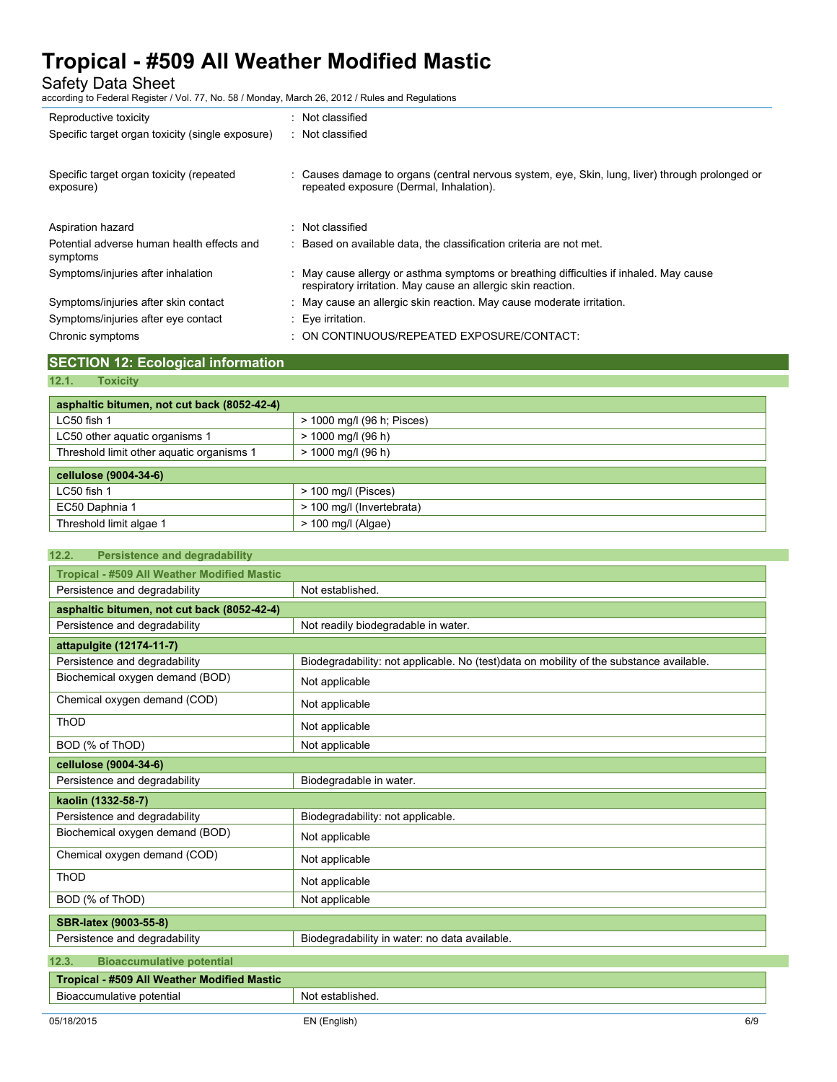Safety Data Sheet

according to Federal Register / Vol. 77, No. 58 / Monday, March 26, 2012 / Rules and Regulations

| Reproductive toxicity                            | Not classified                                                                                                                                         |
|--------------------------------------------------|--------------------------------------------------------------------------------------------------------------------------------------------------------|
| Specific target organ toxicity (single exposure) | : Not classified                                                                                                                                       |
|                                                  |                                                                                                                                                        |
| Specific target organ toxicity (repeated         | : Causes damage to organs (central nervous system, eye, Skin, lung, liver) through prolonged or                                                        |
| exposure)                                        | repeated exposure (Dermal, Inhalation).                                                                                                                |
|                                                  |                                                                                                                                                        |
| Aspiration hazard                                | Not classified                                                                                                                                         |
| Potential adverse human health effects and       | : Based on available data, the classification criteria are not met.                                                                                    |
| symptoms                                         |                                                                                                                                                        |
| Symptoms/injuries after inhalation               | : May cause allergy or asthma symptoms or breathing difficulties if inhaled. May cause<br>respiratory irritation. May cause an allergic skin reaction. |
| Symptoms/injuries after skin contact             | : May cause an allergic skin reaction. May cause moderate irritation.                                                                                  |
|                                                  |                                                                                                                                                        |
| Symptoms/injuries after eye contact              | $\therefore$ Eye irritation.                                                                                                                           |
| Chronic symptoms                                 | ON CONTINUOUS/REPEATED EXPOSURE/CONTACT:                                                                                                               |
|                                                  |                                                                                                                                                        |

### **SECTION 12: Ecological information**

### **12.1. Toxicity**

| asphaltic bitumen, not cut back (8052-42-4) |                            |  |
|---------------------------------------------|----------------------------|--|
| LC50 fish 1                                 | > 1000 mg/l (96 h; Pisces) |  |
| LC50 other aguatic organisms 1              | $> 1000$ mg/l (96 h)       |  |
| Threshold limit other aquatic organisms 1   | $> 1000$ mg/l (96 h)       |  |
| cellulose (9004-34-6)                       |                            |  |
| LC50 fish 1                                 | $>$ 100 mg/l (Pisces)      |  |
| EC50 Daphnia 1                              | > 100 mg/l (Invertebrata)  |  |
| Threshold limit algae 1                     | $>$ 100 mg/l (Algae)       |  |

| <b>Persistence and degradability</b><br>12.2.      |                                                                                         |  |  |
|----------------------------------------------------|-----------------------------------------------------------------------------------------|--|--|
| <b>Tropical - #509 All Weather Modified Mastic</b> |                                                                                         |  |  |
| Persistence and degradability                      | Not established.                                                                        |  |  |
| asphaltic bitumen, not cut back (8052-42-4)        |                                                                                         |  |  |
| Persistence and degradability                      | Not readily biodegradable in water.                                                     |  |  |
| attapulgite (12174-11-7)                           |                                                                                         |  |  |
| Persistence and degradability                      | Biodegradability: not applicable. No (test)data on mobility of the substance available. |  |  |
| Biochemical oxygen demand (BOD)                    | Not applicable                                                                          |  |  |
| Chemical oxygen demand (COD)                       | Not applicable                                                                          |  |  |
| ThOD                                               | Not applicable                                                                          |  |  |
| BOD (% of ThOD)                                    | Not applicable                                                                          |  |  |
| cellulose (9004-34-6)                              |                                                                                         |  |  |
| Persistence and degradability                      | Biodegradable in water.                                                                 |  |  |
| kaolin (1332-58-7)                                 |                                                                                         |  |  |
| Persistence and degradability                      | Biodegradability: not applicable.                                                       |  |  |
| Biochemical oxygen demand (BOD)                    | Not applicable                                                                          |  |  |
| Chemical oxygen demand (COD)                       | Not applicable                                                                          |  |  |
| ThOD                                               | Not applicable                                                                          |  |  |
| BOD (% of ThOD)                                    | Not applicable                                                                          |  |  |
| SBR-latex (9003-55-8)                              |                                                                                         |  |  |
| Persistence and degradability                      | Biodegradability in water: no data available.                                           |  |  |
| <b>Bioaccumulative potential</b><br>12.3.          |                                                                                         |  |  |
| <b>Tropical - #509 All Weather Modified Mastic</b> |                                                                                         |  |  |
| Bioaccumulative potential                          | Not established.                                                                        |  |  |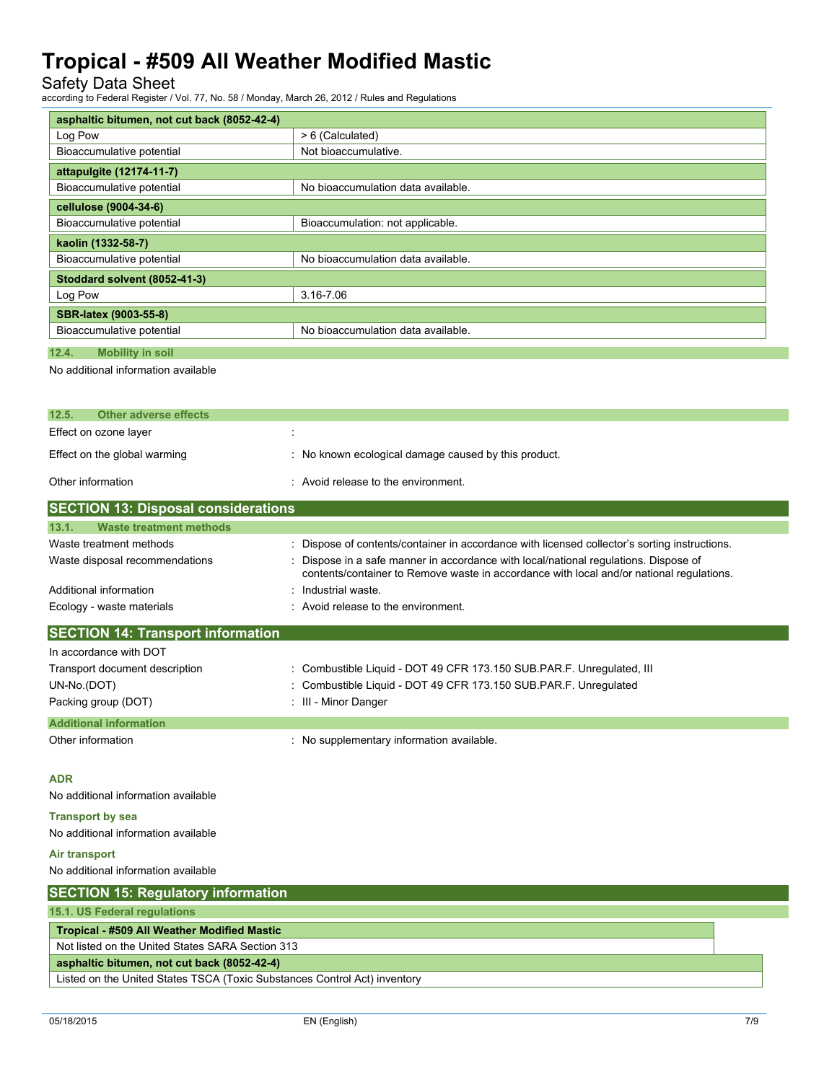Safety Data Sheet

according to Federal Register / Vol. 77, No. 58 / Monday, March 26, 2012 / Rules and Regulations

| asphaltic bitumen, not cut back (8052-42-4) |                                    |  |
|---------------------------------------------|------------------------------------|--|
| Log Pow                                     | > 6 (Calculated)                   |  |
| Bioaccumulative potential                   | Not bioaccumulative.               |  |
| attapulgite (12174-11-7)                    |                                    |  |
| Bioaccumulative potential                   | No bioaccumulation data available. |  |
| cellulose (9004-34-6)                       |                                    |  |
| Bioaccumulative potential                   | Bioaccumulation: not applicable.   |  |
| kaolin (1332-58-7)                          |                                    |  |
| Bioaccumulative potential                   | No bioaccumulation data available. |  |
| Stoddard solvent (8052-41-3)                |                                    |  |
| Log Pow                                     | 3.16-7.06                          |  |
| <b>SBR-latex (9003-55-8)</b>                |                                    |  |
| Bioaccumulative potential                   | No bioaccumulation data available. |  |
| 12.4.<br><b>Mobility in soil</b>            |                                    |  |

#### No additional information available

| 12.5.<br>Other adverse effects             |                                                      |  |
|--------------------------------------------|------------------------------------------------------|--|
| Effect on ozone layer                      |                                                      |  |
| Effect on the global warming               | : No known ecological damage caused by this product. |  |
| Other information                          | $\therefore$ Avoid release to the environment.       |  |
| <b>SECTION 13: Disposal considerations</b> |                                                      |  |

| Waste treatment methods<br>13.1.  |                                                                                                                                                                                  |  |
|-----------------------------------|----------------------------------------------------------------------------------------------------------------------------------------------------------------------------------|--|
| Waste treatment methods           | : Dispose of contents/container in accordance with licensed collector's sorting instructions.                                                                                    |  |
| Waste disposal recommendations    | : Dispose in a safe manner in accordance with local/national regulations. Dispose of<br>contents/container to Remove waste in accordance with local and/or national regulations. |  |
| Additional information            | Industrial waste.                                                                                                                                                                |  |
| Ecology - waste materials         | : Avoid release to the environment.                                                                                                                                              |  |
| SECTION 14: Transport information |                                                                                                                                                                                  |  |

| In accordance with DOT         |                                                                       |  |
|--------------------------------|-----------------------------------------------------------------------|--|
| Transport document description | : Combustible Liquid - DOT 49 CFR 173.150 SUB PAR.F. Unregulated, III |  |
| UN-No.(DOT)                    | : Combustible Liquid - DOT 49 CFR 173.150 SUB PAR.F. Unregulated      |  |
| Packing group (DOT)            | : III - Minor Danger                                                  |  |
| <b>Additional information</b>  |                                                                       |  |
| Other information              | : No supplementary information available.                             |  |

**ADR**

No additional information available

#### **Transport by sea**

No additional information available

#### **Air transport**

No additional information available

| <b>SECTION 15: Regulatory information</b>                                 |  |  |
|---------------------------------------------------------------------------|--|--|
| 15.1. US Federal regulations                                              |  |  |
| <b>Tropical - #509 All Weather Modified Mastic</b>                        |  |  |
| Not listed on the United States SARA Section 313                          |  |  |
| asphaltic bitumen, not cut back (8052-42-4)                               |  |  |
| Listed on the United States TSCA (Toxic Substances Control Act) inventory |  |  |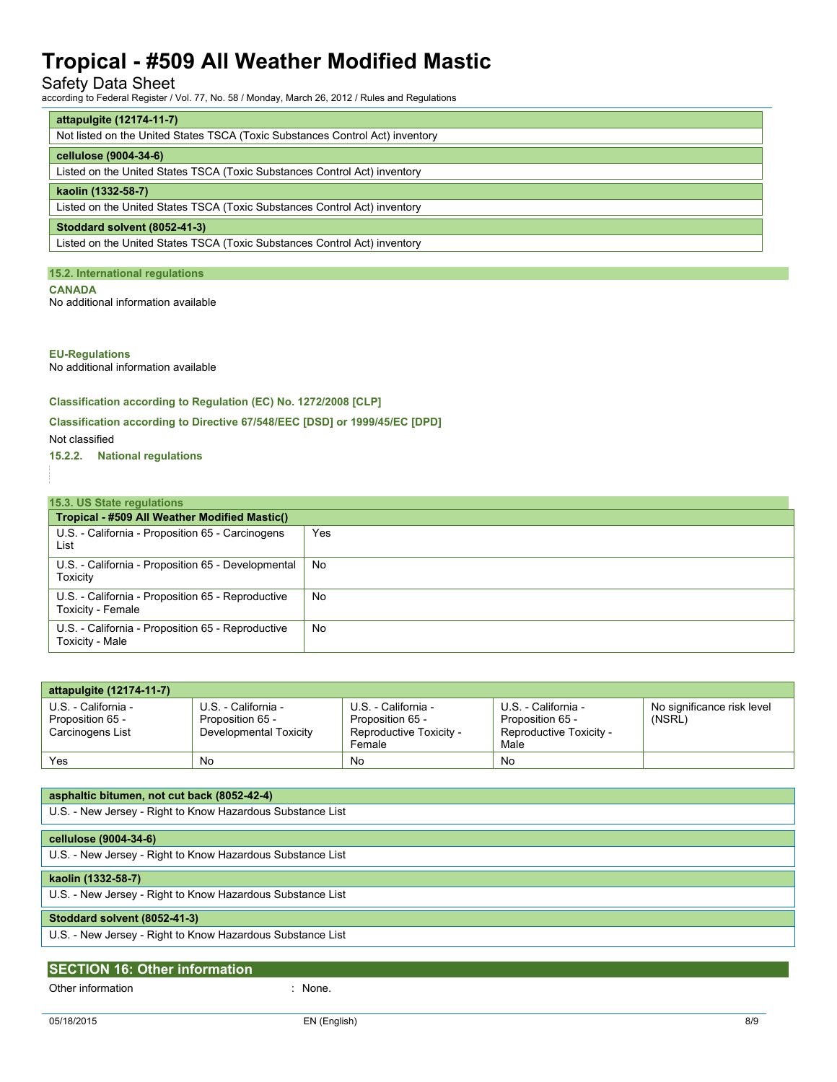### Safety Data Sheet

according to Federal Register / Vol. 77, No. 58 / Monday, March 26, 2012 / Rules and Regulations

| attapulgite (12174-11-7)                                                      |  |  |
|-------------------------------------------------------------------------------|--|--|
| Not listed on the United States TSCA (Toxic Substances Control Act) inventory |  |  |
| cellulose (9004-34-6)                                                         |  |  |
| Listed on the United States TSCA (Toxic Substances Control Act) inventory     |  |  |
| kaolin (1332-58-7)                                                            |  |  |
| Listed on the United States TSCA (Toxic Substances Control Act) inventory     |  |  |
| Stoddard solvent (8052-41-3)                                                  |  |  |
| Listed on the United States TSCA (Toxic Substances Control Act) inventory     |  |  |

### **15.2. International regulations**

**CANADA**

No additional information available

### **EU-Regulations**

No additional information available

### **Classification according to Regulation (EC) No. 1272/2008 [CLP]**

### **Classification according to Directive 67/548/EEC [DSD] or 1999/45/EC [DPD]**

Not classified

**15.2.2. National regulations**

#### **15.3. US State regulations Tropical - #509 All Weather Modified Mastic()** U.S. - California - Proposition 65 - Carcinogens List Yes U.S. - California - Proposition 65 - Developmental Toxicity No U.S. - California - Proposition 65 - Reproductive Toxicity - Female No U.S. - California - Proposition 65 - Reproductive Toxicity - Male No

| attapulgite (12174-11-7)                                    |                                                                   |                                                                              |                                                                            |                                      |
|-------------------------------------------------------------|-------------------------------------------------------------------|------------------------------------------------------------------------------|----------------------------------------------------------------------------|--------------------------------------|
| U.S. - California -<br>Proposition 65 -<br>Carcinogens List | U.S. - California -<br>Proposition 65 -<br>Developmental Toxicity | U.S. - California -<br>Proposition 65 -<br>Reproductive Toxicity -<br>Female | U.S. - California -<br>Proposition 65 -<br>Reproductive Toxicity -<br>Male | No significance risk level<br>(NSRL) |
| Yes                                                         | No                                                                | No                                                                           | No                                                                         |                                      |

| asphaltic bitumen, not cut back (8052-42-4)                |
|------------------------------------------------------------|
| U.S. - New Jersey - Right to Know Hazardous Substance List |
|                                                            |
| cellulose (9004-34-6)                                      |
| U.S. - New Jersey - Right to Know Hazardous Substance List |
| kaolin (1332-58-7)                                         |
| U.S. - New Jersey - Right to Know Hazardous Substance List |
| Stoddard solvent (8052-41-3)                               |
| U.S. - New Jersey - Right to Know Hazardous Substance List |
|                                                            |
| <b>SECTION 16: Other information</b>                       |

|                   | None. |
|-------------------|-------|
| Other information |       |